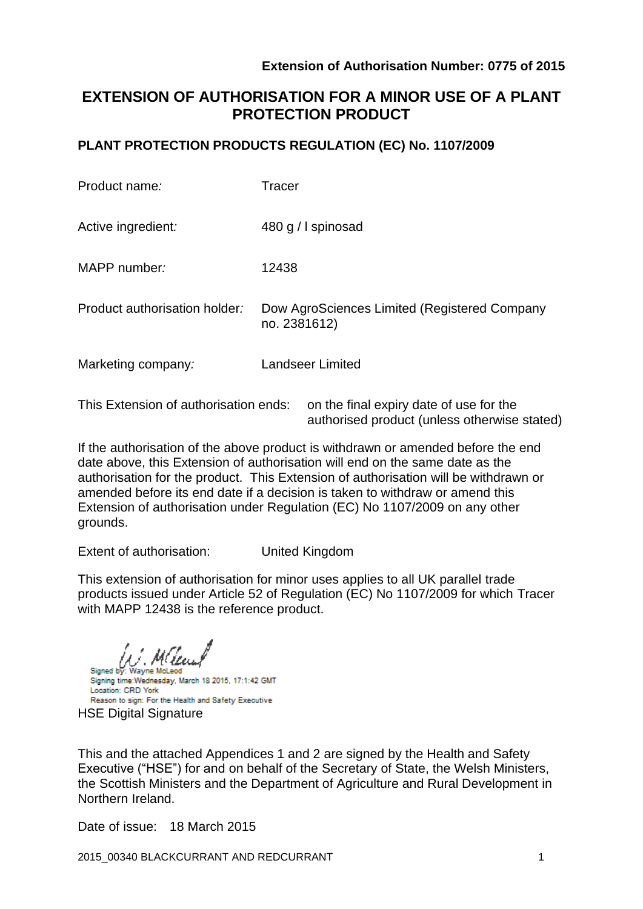# **EXTENSION OF AUTHORISATION FOR A MINOR USE OF A PLANT PROTECTION PRODUCT**

### **PLANT PROTECTION PRODUCTS REGULATION (EC) No. 1107/2009**

| Product name:                 | Tracer                                                       |
|-------------------------------|--------------------------------------------------------------|
| Active ingredient:            | 480 g / I spinosad                                           |
| MAPP number:                  | 12438                                                        |
| Product authorisation holder: | Dow AgroSciences Limited (Registered Company<br>no. 2381612) |
| Marketing company:            | Landseer Limited                                             |
|                               |                                                              |

This Extension of authorisation ends: on the final expiry date of use for the authorised product (unless otherwise stated)

If the authorisation of the above product is withdrawn or amended before the end date above, this Extension of authorisation will end on the same date as the authorisation for the product. This Extension of authorisation will be withdrawn or amended before its end date if a decision is taken to withdraw or amend this Extension of authorisation under Regulation (EC) No 1107/2009 on any other grounds.

Extent of authorisation: United Kingdom

This extension of authorisation for minor uses applies to all UK parallel trade products issued under Article 52 of Regulation (EC) No 1107/2009 for which Tracer with MAPP 12438 is the reference product.

Wayne McLeod

Signed by: Signing time: Wednesday, March 18 2015, 17:1:42 GMT Location: CRD York Reason to sign: For the Health and Safety Executive HSE Digital Signature

This and the attached Appendices 1 and 2 are signed by the Health and Safety Executive ("HSE") for and on behalf of the Secretary of State, the Welsh Ministers, the Scottish Ministers and the Department of Agriculture and Rural Development in Northern Ireland.

Date of issue: 18 March 2015

2015\_00340 BLACKCURRANT AND REDCURRANT 1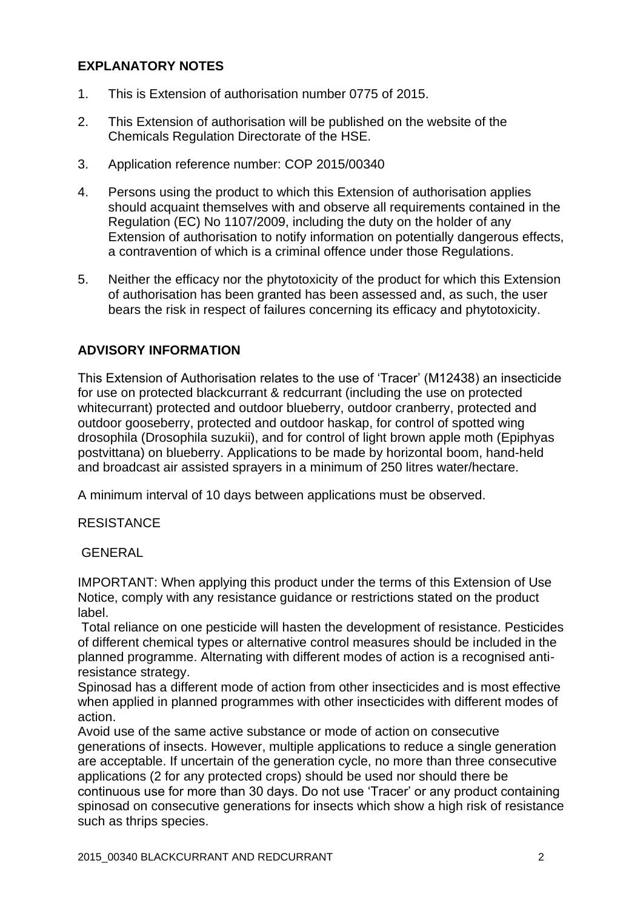### **EXPLANATORY NOTES**

- 1. This is Extension of authorisation number 0775 of 2015.
- 2. This Extension of authorisation will be published on the website of the Chemicals Regulation Directorate of the HSE.
- 3. Application reference number: COP 2015/00340
- 4. Persons using the product to which this Extension of authorisation applies should acquaint themselves with and observe all requirements contained in the Regulation (EC) No 1107/2009, including the duty on the holder of any Extension of authorisation to notify information on potentially dangerous effects, a contravention of which is a criminal offence under those Regulations.
- 5. Neither the efficacy nor the phytotoxicity of the product for which this Extension of authorisation has been granted has been assessed and, as such, the user bears the risk in respect of failures concerning its efficacy and phytotoxicity.

### **ADVISORY INFORMATION**

This Extension of Authorisation relates to the use of 'Tracer' (M12438) an insecticide for use on protected blackcurrant & redcurrant (including the use on protected whitecurrant) protected and outdoor blueberry, outdoor cranberry, protected and outdoor gooseberry, protected and outdoor haskap, for control of spotted wing drosophila (Drosophila suzukii), and for control of light brown apple moth (Epiphyas postvittana) on blueberry. Applications to be made by horizontal boom, hand-held and broadcast air assisted sprayers in a minimum of 250 litres water/hectare.

A minimum interval of 10 days between applications must be observed.

#### **RESISTANCE**

#### GENERAL

IMPORTANT: When applying this product under the terms of this Extension of Use Notice, comply with any resistance guidance or restrictions stated on the product label.

Total reliance on one pesticide will hasten the development of resistance. Pesticides of different chemical types or alternative control measures should be included in the planned programme. Alternating with different modes of action is a recognised antiresistance strategy.

Spinosad has a different mode of action from other insecticides and is most effective when applied in planned programmes with other insecticides with different modes of action.

Avoid use of the same active substance or mode of action on consecutive generations of insects. However, multiple applications to reduce a single generation are acceptable. If uncertain of the generation cycle, no more than three consecutive applications (2 for any protected crops) should be used nor should there be continuous use for more than 30 days. Do not use 'Tracer' or any product containing spinosad on consecutive generations for insects which show a high risk of resistance such as thrips species.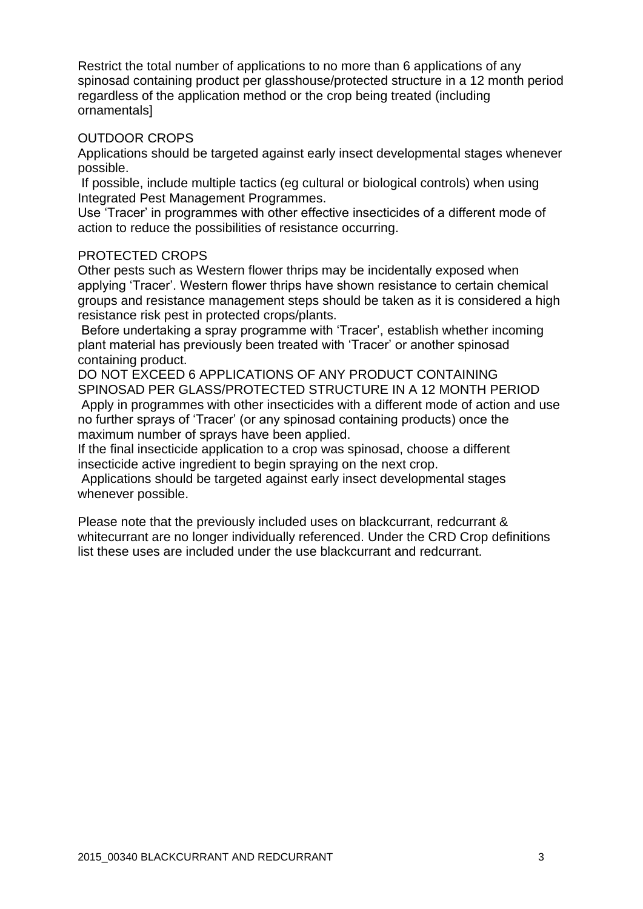Restrict the total number of applications to no more than 6 applications of any spinosad containing product per glasshouse/protected structure in a 12 month period regardless of the application method or the crop being treated (including ornamentals]

#### OUTDOOR CROPS

Applications should be targeted against early insect developmental stages whenever possible.

If possible, include multiple tactics (eg cultural or biological controls) when using Integrated Pest Management Programmes.

Use 'Tracer' in programmes with other effective insecticides of a different mode of action to reduce the possibilities of resistance occurring.

#### PROTECTED CROPS

Other pests such as Western flower thrips may be incidentally exposed when applying 'Tracer'. Western flower thrips have shown resistance to certain chemical groups and resistance management steps should be taken as it is considered a high resistance risk pest in protected crops/plants.

Before undertaking a spray programme with 'Tracer', establish whether incoming plant material has previously been treated with 'Tracer' or another spinosad containing product.

DO NOT EXCEED 6 APPLICATIONS OF ANY PRODUCT CONTAINING SPINOSAD PER GLASS/PROTECTED STRUCTURE IN A 12 MONTH PERIOD Apply in programmes with other insecticides with a different mode of action and use no further sprays of 'Tracer' (or any spinosad containing products) once the maximum number of sprays have been applied.

If the final insecticide application to a crop was spinosad, choose a different insecticide active ingredient to begin spraying on the next crop.

Applications should be targeted against early insect developmental stages whenever possible.

Please note that the previously included uses on blackcurrant, redcurrant & whitecurrant are no longer individually referenced. Under the CRD Crop definitions list these uses are included under the use blackcurrant and redcurrant.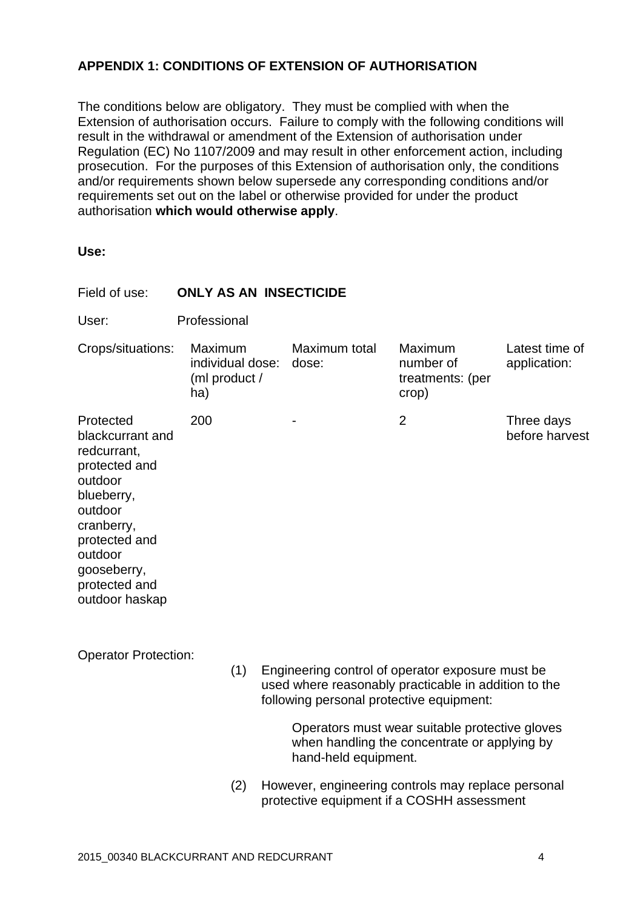## **APPENDIX 1: CONDITIONS OF EXTENSION OF AUTHORISATION**

The conditions below are obligatory. They must be complied with when the Extension of authorisation occurs. Failure to comply with the following conditions will result in the withdrawal or amendment of the Extension of authorisation under Regulation (EC) No 1107/2009 and may result in other enforcement action, including prosecution. For the purposes of this Extension of authorisation only, the conditions and/or requirements shown below supersede any corresponding conditions and/or requirements set out on the label or otherwise provided for under the product authorisation **which would otherwise apply**.

**Use:**

| Field of use:                                                                                                                                                                                 | <b>ONLY AS AN INSECTICIDE</b>                       |                        |                                                   |                                |  |
|-----------------------------------------------------------------------------------------------------------------------------------------------------------------------------------------------|-----------------------------------------------------|------------------------|---------------------------------------------------|--------------------------------|--|
| User:                                                                                                                                                                                         | Professional                                        |                        |                                                   |                                |  |
| Crops/situations:                                                                                                                                                                             | Maximum<br>individual dose:<br>(ml product /<br>ha) | Maximum total<br>dose: | Maximum<br>number of<br>treatments: (per<br>crop) | Latest time of<br>application: |  |
| Protected<br>blackcurrant and<br>redcurrant,<br>protected and<br>outdoor<br>blueberry,<br>outdoor<br>cranberry,<br>protected and<br>outdoor<br>gooseberry,<br>protected and<br>outdoor haskap | 200                                                 |                        | $\overline{2}$                                    | Three days<br>before harvest   |  |
| <b>Operator Protection:</b><br>(1)<br>Engineering control of operator exposure must be<br>used where reasonably practicable in addition to the<br>following personal protective equipment:    |                                                     |                        |                                                   |                                |  |
|                                                                                                                                                                                               | Operators must wear suitable protective gloves      |                        |                                                   |                                |  |

hand-held equipment. (2) However, engineering controls may replace personal

protective equipment if a COSHH assessment

when handling the concentrate or applying by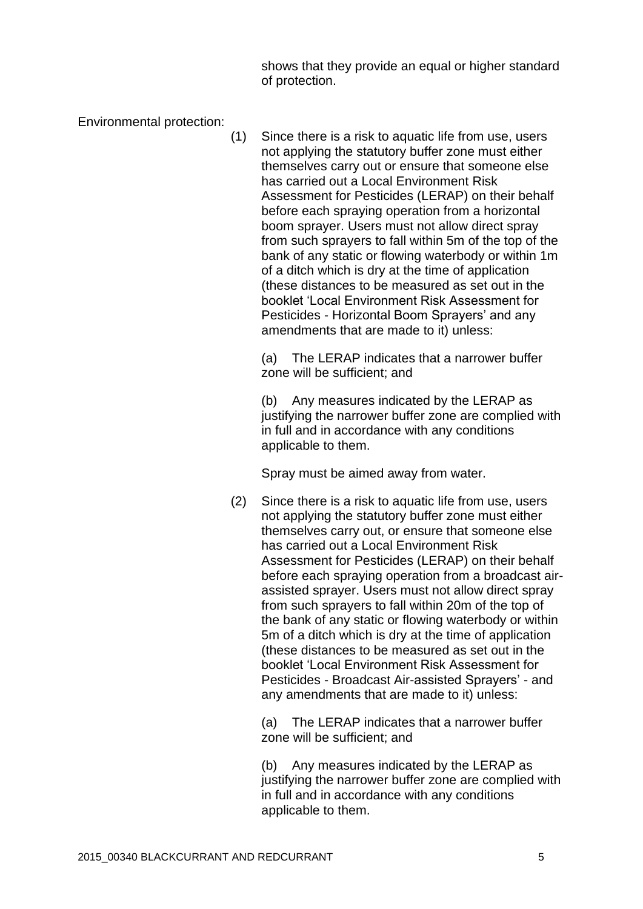shows that they provide an equal or higher standard of protection.

Environmental protection:

(1) Since there is a risk to aquatic life from use, users not applying the statutory buffer zone must either themselves carry out or ensure that someone else has carried out a Local Environment Risk Assessment for Pesticides (LERAP) on their behalf before each spraying operation from a horizontal boom sprayer. Users must not allow direct spray from such sprayers to fall within 5m of the top of the bank of any static or flowing waterbody or within 1m of a ditch which is dry at the time of application (these distances to be measured as set out in the booklet 'Local Environment Risk Assessment for Pesticides - Horizontal Boom Sprayers' and any amendments that are made to it) unless:

(a) The LERAP indicates that a narrower buffer zone will be sufficient; and

(b) Any measures indicated by the LERAP as justifying the narrower buffer zone are complied with in full and in accordance with any conditions applicable to them.

Spray must be aimed away from water.

(2) Since there is a risk to aquatic life from use, users not applying the statutory buffer zone must either themselves carry out, or ensure that someone else has carried out a Local Environment Risk Assessment for Pesticides (LERAP) on their behalf before each spraying operation from a broadcast airassisted sprayer. Users must not allow direct spray from such sprayers to fall within 20m of the top of the bank of any static or flowing waterbody or within 5m of a ditch which is dry at the time of application (these distances to be measured as set out in the booklet 'Local Environment Risk Assessment for Pesticides - Broadcast Air-assisted Sprayers' - and any amendments that are made to it) unless:

(a) The LERAP indicates that a narrower buffer zone will be sufficient; and

(b) Any measures indicated by the LERAP as justifying the narrower buffer zone are complied with in full and in accordance with any conditions applicable to them.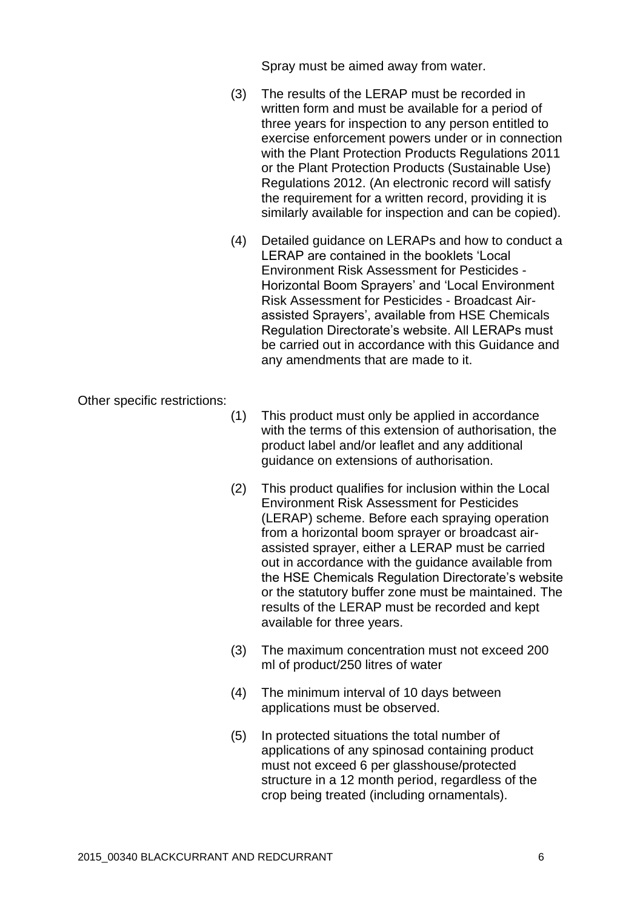Spray must be aimed away from water.

- (3) The results of the LERAP must be recorded in written form and must be available for a period of three years for inspection to any person entitled to exercise enforcement powers under or in connection with the Plant Protection Products Regulations 2011 or the Plant Protection Products (Sustainable Use) Regulations 2012. (An electronic record will satisfy the requirement for a written record, providing it is similarly available for inspection and can be copied).
- (4) Detailed guidance on LERAPs and how to conduct a LERAP are contained in the booklets 'Local Environment Risk Assessment for Pesticides - Horizontal Boom Sprayers' and 'Local Environment Risk Assessment for Pesticides - Broadcast Airassisted Sprayers', available from HSE Chemicals Regulation Directorate's website. All LERAPs must be carried out in accordance with this Guidance and any amendments that are made to it.

Other specific restrictions:

- (1) This product must only be applied in accordance with the terms of this extension of authorisation, the product label and/or leaflet and any additional guidance on extensions of authorisation.
- (2) This product qualifies for inclusion within the Local Environment Risk Assessment for Pesticides (LERAP) scheme. Before each spraying operation from a horizontal boom sprayer or broadcast airassisted sprayer, either a LERAP must be carried out in accordance with the guidance available from the HSE Chemicals Regulation Directorate's website or the statutory buffer zone must be maintained. The results of the LERAP must be recorded and kept available for three years.
- (3) The maximum concentration must not exceed 200 ml of product/250 litres of water
- (4) The minimum interval of 10 days between applications must be observed.
- (5) In protected situations the total number of applications of any spinosad containing product must not exceed 6 per glasshouse/protected structure in a 12 month period, regardless of the crop being treated (including ornamentals).